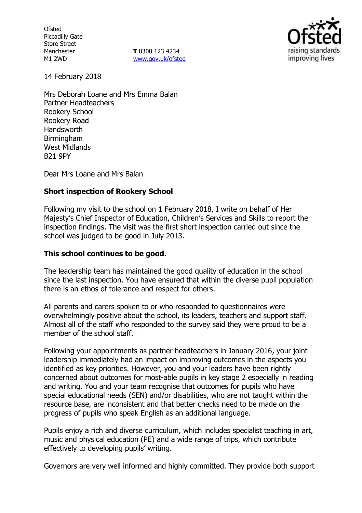**Ofsted** Piccadilly Gate Store Street Manchester M1 2WD

**T** 0300 123 4234 www.gov.uk/ofsted



14 February 2018

Mrs Deborah Loane and Mrs Emma Balan Partner Headteachers Rookery School Rookery Road Handsworth **Birmingham** West Midlands B21 9PY

Dear Mrs Loane and Mrs Balan

### **Short inspection of Rookery School**

Following my visit to the school on 1 February 2018, I write on behalf of Her Majesty's Chief Inspector of Education, Children's Services and Skills to report the inspection findings. The visit was the first short inspection carried out since the school was judged to be good in July 2013.

#### **This school continues to be good.**

The leadership team has maintained the good quality of education in the school since the last inspection. You have ensured that within the diverse pupil population there is an ethos of tolerance and respect for others.

All parents and carers spoken to or who responded to questionnaires were overwhelmingly positive about the school, its leaders, teachers and support staff. Almost all of the staff who responded to the survey said they were proud to be a member of the school staff.

Following your appointments as partner headteachers in January 2016, your joint leadership immediately had an impact on improving outcomes in the aspects you identified as key priorities. However, you and your leaders have been rightly concerned about outcomes for most-able pupils in key stage 2 especially in reading and writing. You and your team recognise that outcomes for pupils who have special educational needs (SEN) and/or disabilities, who are not taught within the resource base, are inconsistent and that better checks need to be made on the progress of pupils who speak English as an additional language.

Pupils enjoy a rich and diverse curriculum, which includes specialist teaching in art, music and physical education (PE) and a wide range of trips, which contribute effectively to developing pupils' writing.

Governors are very well informed and highly committed. They provide both support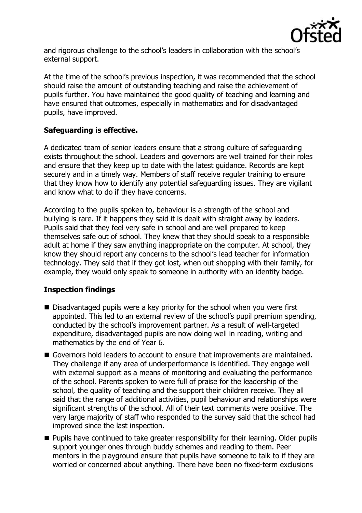

and rigorous challenge to the school's leaders in collaboration with the school's external support.

At the time of the school's previous inspection, it was recommended that the school should raise the amount of outstanding teaching and raise the achievement of pupils further. You have maintained the good quality of teaching and learning and have ensured that outcomes, especially in mathematics and for disadvantaged pupils, have improved.

### **Safeguarding is effective.**

A dedicated team of senior leaders ensure that a strong culture of safeguarding exists throughout the school. Leaders and governors are well trained for their roles and ensure that they keep up to date with the latest guidance. Records are kept securely and in a timely way. Members of staff receive regular training to ensure that they know how to identify any potential safeguarding issues. They are vigilant and know what to do if they have concerns.

According to the pupils spoken to, behaviour is a strength of the school and bullying is rare. If it happens they said it is dealt with straight away by leaders. Pupils said that they feel very safe in school and are well prepared to keep themselves safe out of school. They knew that they should speak to a responsible adult at home if they saw anything inappropriate on the computer. At school, they know they should report any concerns to the school's lead teacher for information technology. They said that if they got lost, when out shopping with their family, for example, they would only speak to someone in authority with an identity badge.

# **Inspection findings**

- Disadvantaged pupils were a key priority for the school when you were first appointed. This led to an external review of the school's pupil premium spending, conducted by the school's improvement partner. As a result of well-targeted expenditure, disadvantaged pupils are now doing well in reading, writing and mathematics by the end of Year 6.
- Governors hold leaders to account to ensure that improvements are maintained. They challenge if any area of underperformance is identified. They engage well with external support as a means of monitoring and evaluating the performance of the school. Parents spoken to were full of praise for the leadership of the school, the quality of teaching and the support their children receive. They all said that the range of additional activities, pupil behaviour and relationships were significant strengths of the school. All of their text comments were positive. The very large majority of staff who responded to the survey said that the school had improved since the last inspection.
- **Pupils have continued to take greater responsibility for their learning. Older pupils** support younger ones through buddy schemes and reading to them. Peer mentors in the playground ensure that pupils have someone to talk to if they are worried or concerned about anything. There have been no fixed-term exclusions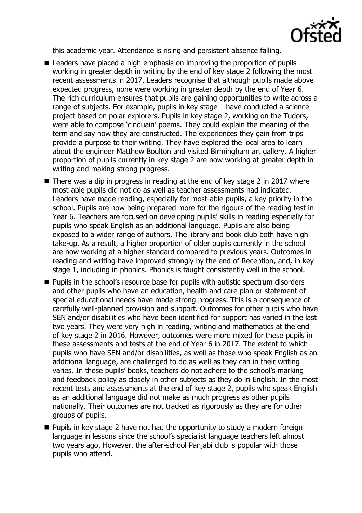

this academic year. Attendance is rising and persistent absence falling.

- Leaders have placed a high emphasis on improving the proportion of pupils working in greater depth in writing by the end of key stage 2 following the most recent assessments in 2017. Leaders recognise that although pupils made above expected progress, none were working in greater depth by the end of Year 6. The rich curriculum ensures that pupils are gaining opportunities to write across a range of subjects. For example, pupils in key stage 1 have conducted a science project based on polar explorers. Pupils in key stage 2, working on the Tudors, were able to compose 'cinquain' poems. They could explain the meaning of the term and say how they are constructed. The experiences they gain from trips provide a purpose to their writing. They have explored the local area to learn about the engineer Matthew Boulton and visited Birmingham art gallery. A higher proportion of pupils currently in key stage 2 are now working at greater depth in writing and making strong progress.
- There was a dip in progress in reading at the end of key stage 2 in 2017 where most-able pupils did not do as well as teacher assessments had indicated. Leaders have made reading, especially for most-able pupils, a key priority in the school. Pupils are now being prepared more for the rigours of the reading test in Year 6. Teachers are focused on developing pupils' skills in reading especially for pupils who speak English as an additional language. Pupils are also being exposed to a wider range of authors. The library and book club both have high take-up. As a result, a higher proportion of older pupils currently in the school are now working at a higher standard compared to previous years. Outcomes in reading and writing have improved strongly by the end of Reception, and, in key stage 1, including in phonics. Phonics is taught consistently well in the school.
- $\blacksquare$  Pupils in the school's resource base for pupils with autistic spectrum disorders and other pupils who have an education, health and care plan or statement of special educational needs have made strong progress. This is a consequence of carefully well-planned provision and support. Outcomes for other pupils who have SEN and/or disabilities who have been identified for support has varied in the last two years. They were very high in reading, writing and mathematics at the end of key stage 2 in 2016. However, outcomes were more mixed for these pupils in these assessments and tests at the end of Year 6 in 2017. The extent to which pupils who have SEN and/or disabilities, as well as those who speak English as an additional language, are challenged to do as well as they can in their writing varies. In these pupils' books, teachers do not adhere to the school's marking and feedback policy as closely in other subjects as they do in English. In the most recent tests and assessments at the end of key stage 2, pupils who speak English as an additional language did not make as much progress as other pupils nationally. Their outcomes are not tracked as rigorously as they are for other groups of pupils.
- **Pupils in key stage 2 have not had the opportunity to study a modern foreign** language in lessons since the school's specialist language teachers left almost two years ago. However, the after-school Panjabi club is popular with those pupils who attend.